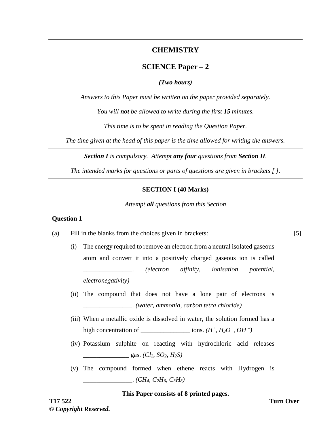# **CHEMISTRY**

## **SCIENCE Paper – 2**

### *(Two hours)*

*Answers to this Paper must be written on the paper provided separately.*

*You will not be allowed to write during the first 15 minutes.*

*This time is to be spent in reading the Question Paper.*

*The time given at the head of this paper is the time allowed for writing the answers.*

*Section I is compulsory. Attempt any four questions from Section II.*

*The intended marks for questions or parts of questions are given in brackets [ ].*

### **SECTION I (40 Marks)**

*Attempt all questions from this Section*

### **Question 1**

- (a) Fill in the blanks from the choices given in brackets:
	- (i) The energy required to remove an electron from a neutral isolated gaseous atom and convert it into a positively charged gaseous ion is called \_\_\_\_\_\_\_\_\_\_\_\_\_\_\_. *(electron affinity, ionisation potential, electronegativity)*
	- (ii) The compound that does not have a lone pair of electrons is \_\_\_\_\_\_\_\_\_\_\_\_\_\_\_. *(water, ammonia, carbon tetra chloride)*
	- (iii) When a metallic oxide is dissolved in water, the solution formed has a high concentration of  $\frac{1}{\sqrt{1-\lambda}}$ *, H3O + , OH – )*
	- (iv) Potassium sulphite on reacting with hydrochloric acid releases \_\_\_\_\_\_\_\_\_\_\_\_\_\_ gas. *(Cl2, SO2, H2S)*
	- (v) The compound formed when ethene reacts with Hydrogen is \_\_\_\_\_\_\_\_\_\_\_\_\_\_\_. *(CH4, C2H6, C3H8)*

[5]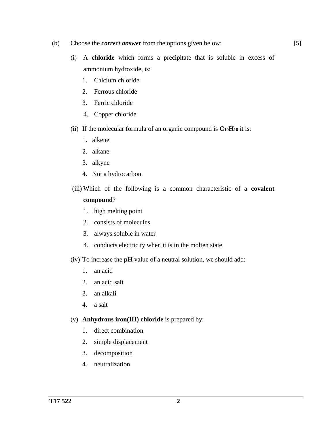- (b) Choose the *correct answer* from the options given below:
	- (i) A **chloride** which forms a precipitate that is soluble in excess of ammonium hydroxide, is:

[5]

- 1. Calcium chloride
- 2. Ferrous chloride
- 3. Ferric chloride
- 4. Copper chloride
- (ii) If the molecular formula of an organic compound is  $C_{10}H_{18}$  it is:
	- 1. alkene
	- 2. alkane
	- 3. alkyne
	- 4. Not a hydrocarbon
- (iii) Which of the following is a common characteristic of a **covalent compound**?
	- 1. high melting point
	- 2. consists of molecules
	- 3. always soluble in water
	- 4. conducts electricity when it is in the molten state
- (iv) To increase the **pH** value of a neutral solution, we should add:
	- 1. an acid
	- 2. an acid salt
	- 3. an alkali
	- 4. a salt

### (v) **Anhydrous iron(III) chloride** is prepared by:

- 1. direct combination
- 2. simple displacement
- 3. decomposition
- 4. neutralization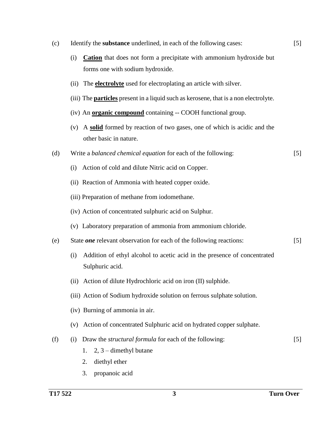| (c) | Identify the substance underlined, in each of the following cases:                                                    | $[5]$ |
|-----|-----------------------------------------------------------------------------------------------------------------------|-------|
|     | <b>Cation</b> that does not form a precipitate with ammonium hydroxide but<br>(i)<br>forms one with sodium hydroxide. |       |
|     | (ii) The <b>electrolyte</b> used for electroplating an article with silver.                                           |       |
|     | (iii) The <b>particles</b> present in a liquid such as kerosene, that is a non electrolyte.                           |       |
|     | (iv) An <b>organic compound</b> containing -- COOH functional group.                                                  |       |
|     | A solid formed by reaction of two gases, one of which is acidic and the<br>(v)<br>other basic in nature.              |       |
| (d) | Write a balanced chemical equation for each of the following:                                                         | [5]   |
|     | Action of cold and dilute Nitric acid on Copper.<br>(i)                                                               |       |
|     | (ii) Reaction of Ammonia with heated copper oxide.                                                                    |       |
|     | (iii) Preparation of methane from iodomethane.                                                                        |       |
|     | (iv) Action of concentrated sulphuric acid on Sulphur.                                                                |       |
|     | (v) Laboratory preparation of ammonia from ammonium chloride.                                                         |       |
| (e) | State one relevant observation for each of the following reactions:                                                   | $[5]$ |
|     | Addition of ethyl alcohol to acetic acid in the presence of concentrated<br>(i)<br>Sulphuric acid.                    |       |
|     | Action of dilute Hydrochloric acid on iron (II) sulphide.<br>(ii)                                                     |       |
|     | (iii) Action of Sodium hydroxide solution on ferrous sulphate solution.                                               |       |
|     | (iv) Burning of ammonia in air.                                                                                       |       |
|     | Action of concentrated Sulphuric acid on hydrated copper sulphate.<br>(v)                                             |       |
| (f) | Draw the <i>structural formula</i> for each of the following:<br>(i)                                                  | [5]   |
|     | $2, 3$ – dimethyl butane<br>1.                                                                                        |       |
|     | diethyl ether<br>2.                                                                                                   |       |
|     | propanoic acid<br>3.                                                                                                  |       |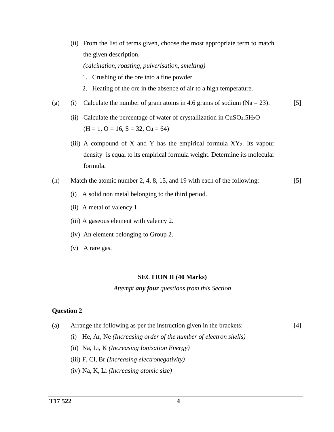(ii) From the list of terms given, choose the most appropriate term to match the given description.

*(calcination, roasting, pulverisation, smelting)*

- 1. Crushing of the ore into a fine powder.
- 2. Heating of the ore in the absence of air to a high temperature.
- (g) (i) Calculate the number of gram atoms in 4.6 grams of sodium (Na = 23). [5]
	- (ii) Calculate the percentage of water of crystallization in  $CuSO<sub>4</sub>.5H<sub>2</sub>O$  $(H = 1, O = 16, S = 32, Cu = 64)$
	- (iii) A compound of X and Y has the empirical formula  $XY_2$ . Its vapour density is equal to its empirical formula weight. Determine its molecular formula.
- (h) Match the atomic number 2, 4, 8, 15, and 19 with each of the following: [5]
	- (i) A solid non metal belonging to the third period.
	- (ii) A metal of valency 1.
	- (iii) A gaseous element with valency 2.
	- (iv) An element belonging to Group 2.
	- (v) A rare gas.

#### **SECTION II (40 Marks)**

*Attempt any four questions from this Section*

### **Question 2**

- (a) Arrange the following as per the instruction given in the brackets: [4]
	- (i) He, Ar, Ne *(Increasing order of the number of electron shells)*
	- (ii) Na, Li, K *(Increasing Ionisation Energy)*
	- (iii) F, Cl, Br *(Increasing electronegativity)*
	- (iv) Na, K, Li *(Increasing atomic size)*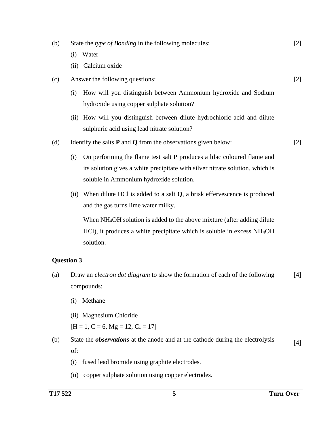| (b)               |                                                                             | State the type of Bonding in the following molecules:                                                                                                                                                      | $[2]$ |
|-------------------|-----------------------------------------------------------------------------|------------------------------------------------------------------------------------------------------------------------------------------------------------------------------------------------------------|-------|
|                   | (i)                                                                         | Water                                                                                                                                                                                                      |       |
|                   | (ii)                                                                        | Calcium oxide                                                                                                                                                                                              |       |
| (c)               | Answer the following questions:                                             |                                                                                                                                                                                                            |       |
|                   | (i)                                                                         | How will you distinguish between Ammonium hydroxide and Sodium<br>hydroxide using copper sulphate solution?                                                                                                |       |
|                   | (ii)                                                                        | How will you distinguish between dilute hydrochloric acid and dilute<br>sulphuric acid using lead nitrate solution?                                                                                        |       |
| (d)               |                                                                             | Identify the salts $P$ and $Q$ from the observations given below:                                                                                                                                          | [2]   |
|                   | (i)                                                                         | On performing the flame test salt <b>P</b> produces a lilac coloured flame and<br>its solution gives a white precipitate with silver nitrate solution, which is<br>soluble in Ammonium hydroxide solution. |       |
|                   | (ii)                                                                        | When dilute HCl is added to a salt $Q$ , a brisk effervescence is produced<br>and the gas turns lime water milky.                                                                                          |       |
|                   |                                                                             | When NH <sub>4</sub> OH solution is added to the above mixture (after adding dilute<br>HCl), it produces a white precipitate which is soluble in excess NH <sub>4</sub> OH<br>solution.                    |       |
| <b>Question 3</b> |                                                                             |                                                                                                                                                                                                            |       |
| (a)               | Draw an electron dot diagram to show the formation of each of the following |                                                                                                                                                                                                            |       |

- compounds:
	- (i) Methane
	- (ii) Magnesium Chloride

 $[H = 1, C = 6, Mg = 12, Cl = 17]$ 

- (b) State the *observations* at the anode and at the cathode during the electrolysis of: [4]
	- (i) fused lead bromide using graphite electrodes.
	- (ii) copper sulphate solution using copper electrodes.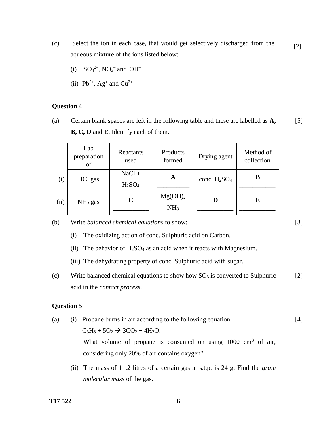- (c) Select the ion in each case, that would get selectively discharged from the aqueous mixture of the ions listed below: [2]
	- (i)  $SO_4^2$ <sup>-</sup>,  $NO_3^-$  and  $OH^-$
	- (ii) Pb<sup>2+</sup>, Ag<sup>+</sup> and Cu<sup>2+</sup>

### **Question 4**

(a) Certain blank spaces are left in the following table and these are labelled as **A, B, C, D** and **E**. Identify each of them. [5]

|      | Lab<br>preparation<br>of | Reactants<br>used                          | Products<br>formed                     | Drying agent  | Method of<br>collection |
|------|--------------------------|--------------------------------------------|----------------------------------------|---------------|-------------------------|
| (i)  | HCl gas                  | $NaCl +$<br>H <sub>2</sub> SO <sub>4</sub> | A                                      | conc. $H2SO4$ | в                       |
| (ii) | $NH3$ gas                | C                                          | Mg(OH) <sub>2</sub><br>NH <sub>3</sub> |               | E                       |

(b) Write *balanced chemical equations* to show:

- (i) The oxidizing action of conc. Sulphuric acid on Carbon.
- (ii) The behavior of  $H_2SO_4$  as an acid when it reacts with Magnesium.
- (iii) The dehydrating property of conc. Sulphuric acid with sugar.
- (c) Write balanced chemical equations to show how  $SO<sub>3</sub>$  is converted to Sulphuric acid in the *contact process*. [2]

[3]

### **Question 5**

- (a) (i) Propane burns in air according to the following equation:  $C_3H_8 + 5O_2 \rightarrow 3CO_2 + 4H_2O$ . What volume of propane is consumed on using  $1000 \text{ cm}^3$  of air, considering only 20% of air contains oxygen? [4]
	- (ii) The mass of 11.2 litres of a certain gas at s.t.p. is 24 g. Find the *gram molecular mass* of the gas.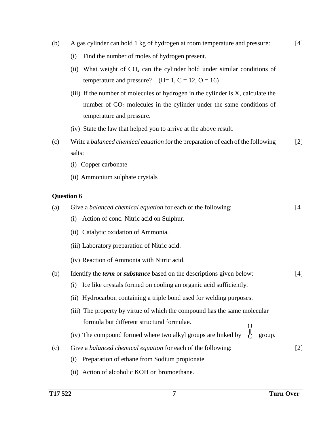- (b) A gas cylinder can hold 1 kg of hydrogen at room temperature and pressure:
	- (i) Find the number of moles of hydrogen present.
	- (ii) What weight of  $CO<sub>2</sub>$  can the cylinder hold under similar conditions of temperature and pressure?  $(H= 1, C = 12, O = 16)$
	- (iii) If the number of molecules of hydrogen in the cylinder is X, calculate the number of CO<sup>2</sup> molecules in the cylinder under the same conditions of temperature and pressure.
	- (iv) State the law that helped you to arrive at the above result.
- (c) Write a *balanced chemical equation* for the preparation of each of the following salts: [2]
	- (i) Copper carbonate
	- (ii) Ammonium sulphate crystals

### **Question 6**

| (a) | Give a <i>balanced chemical equation</i> for each of the following:                        | $[4]$ |
|-----|--------------------------------------------------------------------------------------------|-------|
|     | Action of conc. Nitric acid on Sulphur.<br>(i)                                             |       |
|     | (ii) Catalytic oxidation of Ammonia.                                                       |       |
|     | (iii) Laboratory preparation of Nitric acid.                                               |       |
|     | (iv) Reaction of Ammonia with Nitric acid.                                                 |       |
| (b) | Identify the <i>term</i> or <i>substance</i> based on the descriptions given below:        | $[4]$ |
|     | Ice like crystals formed on cooling an organic acid sufficiently.<br>(i)                   |       |
|     | (ii) Hydrocarbon containing a triple bond used for welding purposes.                       |       |
|     | (iii) The property by virtue of which the compound has the same molecular                  |       |
|     | formula but different structural formulae.                                                 |       |
|     | (iv) The compound formed where two alkyl groups are linked by $\overline{\bigcirc}$ group. |       |
| (c) | Give a <i>balanced chemical equation</i> for each of the following:                        | $[2]$ |
|     | Preparation of ethane from Sodium propionate<br>(i)                                        |       |
|     | (ii) Action of alcoholic KOH on bromoethane.                                               |       |

[4]